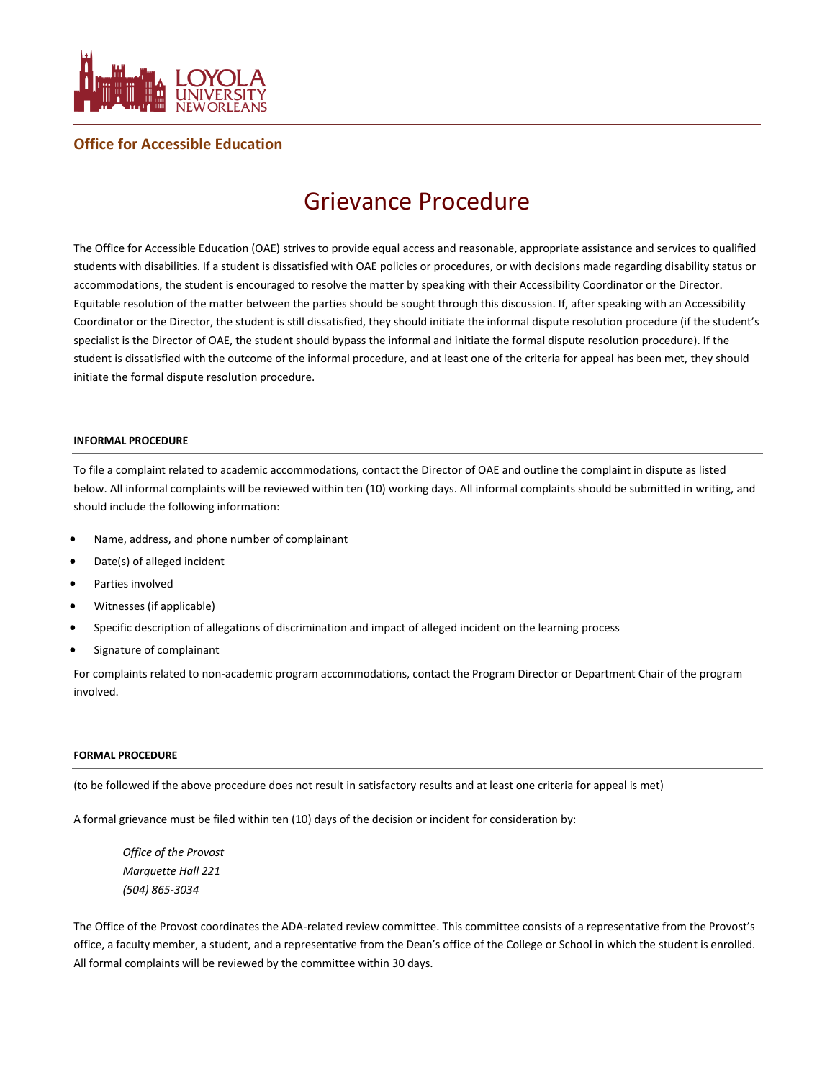

# **Office for Accessible Education**

# Grievance Procedure

The Office for Accessible Education (OAE) strives to provide equal access and reasonable, appropriate assistance and services to qualified students with disabilities. If a student is dissatisfied with OAE policies or procedures, or with decisions made regarding disability status or accommodations, the student is encouraged to resolve the matter by speaking with their Accessibility Coordinator or the Director. Equitable resolution of the matter between the parties should be sought through this discussion. If, after speaking with an Accessibility Coordinator or the Director, the student is still dissatisfied, they should initiate the informal dispute resolution procedure (if the student's specialist is the Director of OAE, the student should bypass the informal and initiate the formal dispute resolution procedure). If the student is dissatisfied with the outcome of the informal procedure, and at least one of the criteria for appeal has been met, they should initiate the formal dispute resolution procedure.

#### **INFORMAL PROCEDURE**

To file a complaint related to academic accommodations, contact the Director of OAE and outline the complaint in dispute as listed below. All informal complaints will be reviewed within ten (10) working days. All informal complaints should be submitted in writing, and should include the following information:

- Name, address, and phone number of complainant
- Date(s) of alleged incident
- Parties involved
- Witnesses (if applicable)
- Specific description of allegations of discrimination and impact of alleged incident on the learning process
- Signature of complainant

For complaints related to non-academic program accommodations, contact the Program Director or Department Chair of the program involved.

#### **FORMAL PROCEDURE**

(to be followed if the above procedure does not result in satisfactory results and at least one criteria for appeal is met)

A formal grievance must be filed within ten (10) days of the decision or incident for consideration by:

*Office of the Provost Marquette Hall 221 (504) 865-3034*

The Office of the Provost coordinates the ADA-related review committee. This committee consists of a representative from the Provost's office, a faculty member, a student, and a representative from the Dean's office of the College or School in which the student is enrolled. All formal complaints will be reviewed by the committee within 30 days.